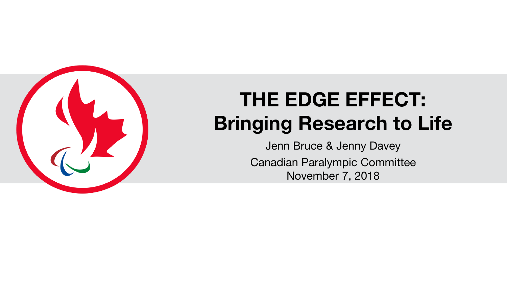

# **THE EDGE EFFECT: Bringing Research to Life**

Jenn Bruce & Jenny Davey Canadian Paralympic Committee November 7, 2018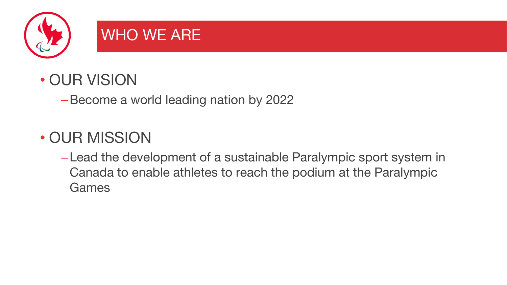

# WHO WE ARE

#### • OUR VISION

–Become a world leading nation by 2022

# • OUR MISSION

–Lead the development of a sustainable Paralympic sport system in Canada to enable athletes to reach the podium at the Paralympic **Games**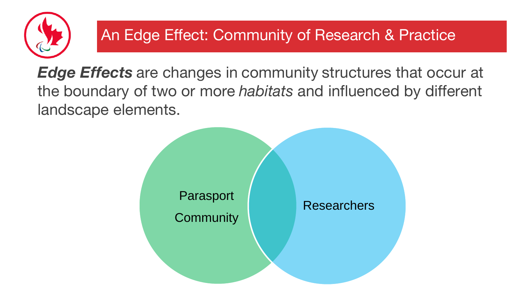

#### An Edge Effect: Community of Research & Practice

*Edge Effects* are changes in community structures that occur at the boundary of two or more *habitats* and influenced by different landscape elements.

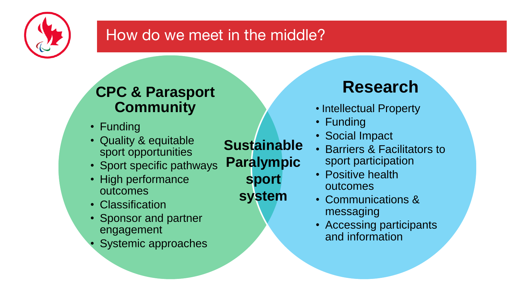

#### How do we meet in the middle?

#### **CPC & Parasport Community**

- Funding
- Quality & equitable sport opportunities
- Sport specific pathways
- High performance outcomes
- Classification
- Sponsor and partner engagement
- Systemic approaches

**Sustainable Paralympic sport system**

# **Research**

- Intellectual Property
- Funding
- Social Impact
- Barriers & Facilitators to sport participation
- Positive health outcomes
- Communications & messaging
- Accessing participants and information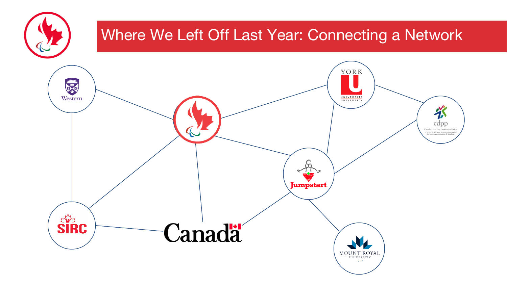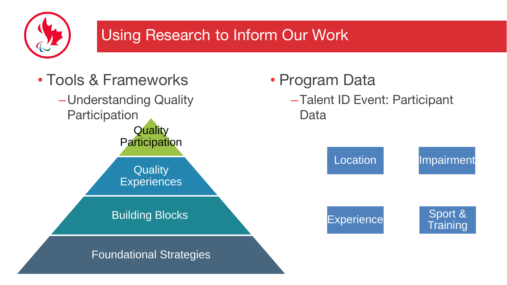

#### Using Research to Inform Our Work

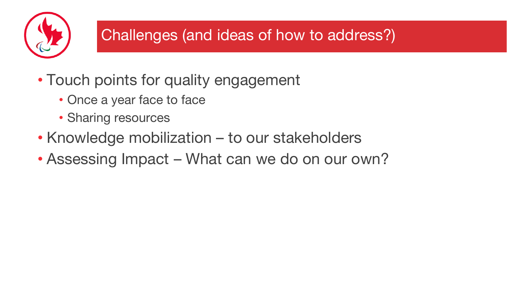

#### Challenges (and ideas of how to address?)

- Touch points for quality engagement
	- Once a year face to face
	- Sharing resources
- Knowledge mobilization to our stakeholders
- Assessing Impact What can we do on our own?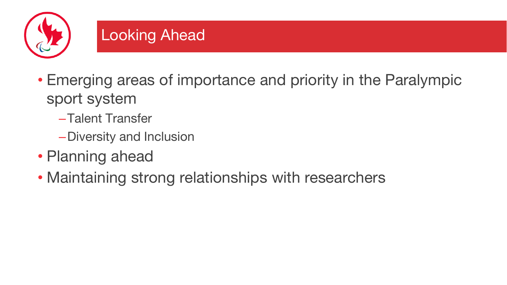

#### Looking Ahead

- Emerging areas of importance and priority in the Paralympic sport system
	- –Talent Transfer
	- –Diversity and Inclusion
- Planning ahead
- Maintaining strong relationships with researchers